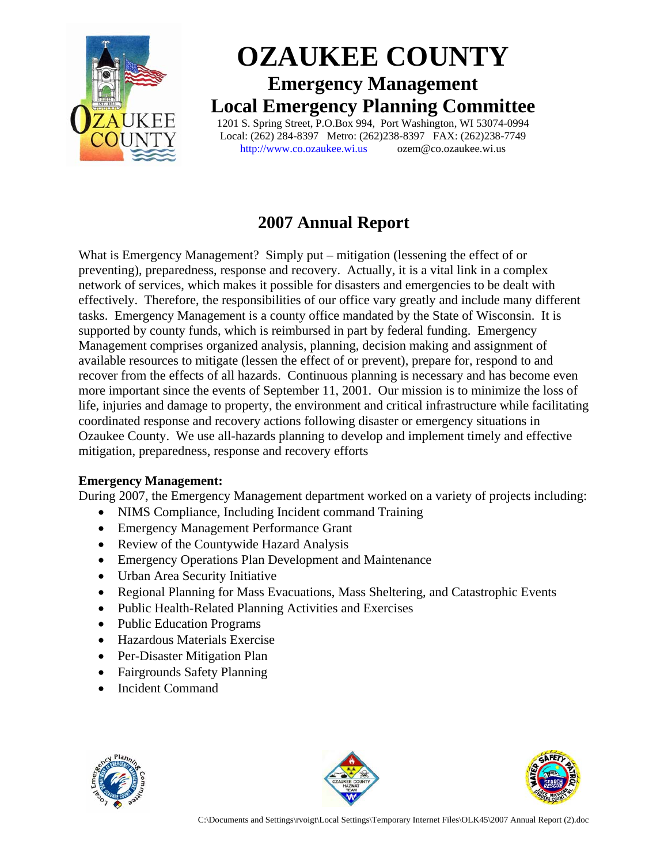

# **OZAUKEE COUNTY Emergency Management Local Emergency Planning Committee** 1201 S. Spring Street, P.O.Box 994, Port Washington, WI 53074-0994

Local: (262) 284-8397 Metro: (262)238-8397 FAX: (262)238-7749 http://www.co.ozaukee.wi.us ozem@co.ozaukee.wi.us

## **2007 Annual Report**

What is Emergency Management? Simply put – mitigation (lessening the effect of or preventing), preparedness, response and recovery. Actually, it is a vital link in a complex network of services, which makes it possible for disasters and emergencies to be dealt with effectively. Therefore, the responsibilities of our office vary greatly and include many different tasks. Emergency Management is a county office mandated by the State of Wisconsin. It is supported by county funds, which is reimbursed in part by federal funding. Emergency Management comprises organized analysis, planning, decision making and assignment of available resources to mitigate (lessen the effect of or prevent), prepare for, respond to and recover from the effects of all hazards. Continuous planning is necessary and has become even more important since the events of September 11, 2001. Our mission is to minimize the loss of life, injuries and damage to property, the environment and critical infrastructure while facilitating coordinated response and recovery actions following disaster or emergency situations in Ozaukee County. We use all-hazards planning to develop and implement timely and effective mitigation, preparedness, response and recovery efforts

## **Emergency Management:**

During 2007, the Emergency Management department worked on a variety of projects including:

- NIMS Compliance, Including Incident command Training
- Emergency Management Performance Grant
- Review of the Countywide Hazard Analysis
- Emergency Operations Plan Development and Maintenance
- Urban Area Security Initiative
- Regional Planning for Mass Evacuations, Mass Sheltering, and Catastrophic Events
- Public Health-Related Planning Activities and Exercises
- Public Education Programs
- Hazardous Materials Exercise
- Per-Disaster Mitigation Plan
- Fairgrounds Safety Planning
- Incident Command